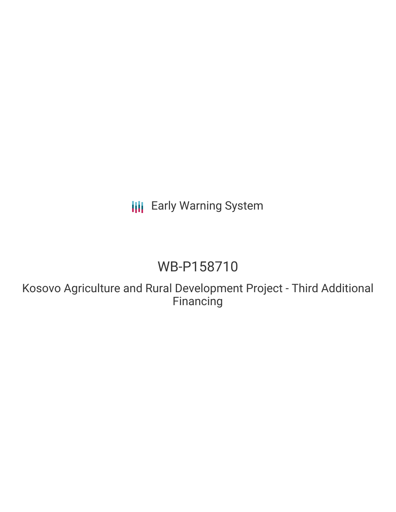**III** Early Warning System

# WB-P158710

Kosovo Agriculture and Rural Development Project - Third Additional **Financing**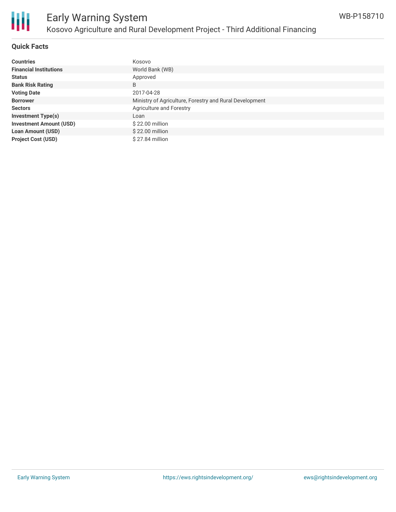

### **Quick Facts**

| <b>Countries</b>               | Kosovo                                                  |
|--------------------------------|---------------------------------------------------------|
| <b>Financial Institutions</b>  | World Bank (WB)                                         |
| <b>Status</b>                  | Approved                                                |
| <b>Bank Risk Rating</b>        | B                                                       |
| <b>Voting Date</b>             | 2017-04-28                                              |
| <b>Borrower</b>                | Ministry of Agriculture, Forestry and Rural Development |
| <b>Sectors</b>                 | Agriculture and Forestry                                |
| <b>Investment Type(s)</b>      | Loan                                                    |
| <b>Investment Amount (USD)</b> | $$22.00$ million                                        |
| <b>Loan Amount (USD)</b>       | $$22.00$ million                                        |
| <b>Project Cost (USD)</b>      | \$27.84 million                                         |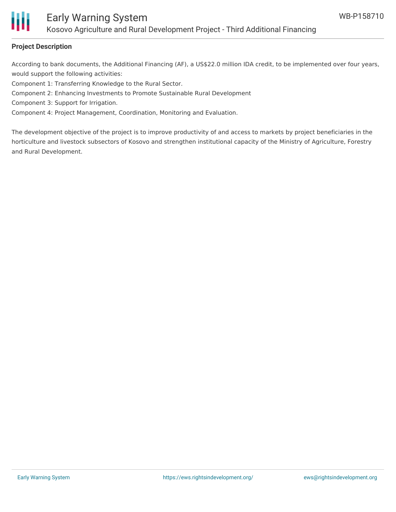

### **Project Description**

According to bank documents, the Additional Financing (AF), a US\$22.0 million IDA credit, to be implemented over four years, would support the following activities:

Component 1: Transferring Knowledge to the Rural Sector.

- Component 2: Enhancing Investments to Promote Sustainable Rural Development
- Component 3: Support for Irrigation.

Component 4: Project Management, Coordination, Monitoring and Evaluation.

The development objective of the project is to improve productivity of and access to markets by project beneficiaries in the horticulture and livestock subsectors of Kosovo and strengthen institutional capacity of the Ministry of Agriculture, Forestry and Rural Development.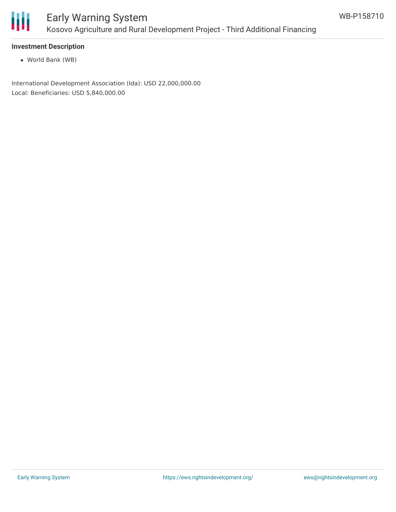

### **Investment Description**

World Bank (WB)

International Development Association (Ida): USD 22,000,000.00 Local: Beneficiaries: USD 5,840,000.00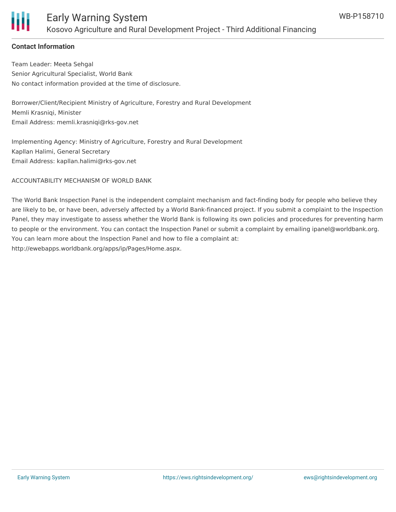

### Early Warning System Kosovo Agriculture and Rural Development Project - Third Additional Financing

### **Contact Information**

Team Leader: Meeta Sehgal Senior Agricultural Specialist, World Bank No contact information provided at the time of disclosure.

Borrower/Client/Recipient Ministry of Agriculture, Forestry and Rural Development Memli Krasniqi, Minister Email Address: memli.krasniqi@rks-gov.net

Implementing Agency: Ministry of Agriculture, Forestry and Rural Development Kapllan Halimi, General Secretary Email Address: kapllan.halimi@rks-gov.net

ACCOUNTABILITY MECHANISM OF WORLD BANK

The World Bank Inspection Panel is the independent complaint mechanism and fact-finding body for people who believe they are likely to be, or have been, adversely affected by a World Bank-financed project. If you submit a complaint to the Inspection Panel, they may investigate to assess whether the World Bank is following its own policies and procedures for preventing harm to people or the environment. You can contact the Inspection Panel or submit a complaint by emailing ipanel@worldbank.org. You can learn more about the Inspection Panel and how to file a complaint at: http://ewebapps.worldbank.org/apps/ip/Pages/Home.aspx.